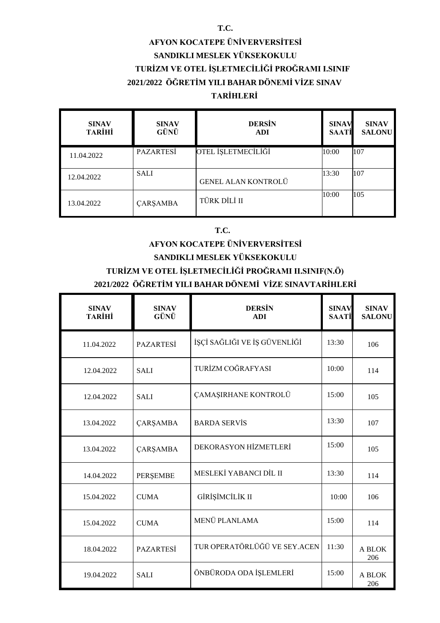#### **T.C.**

## **AFYON KOCATEPE ÜNİVERVERSİTESİ SANDIKLI MESLEK YÜKSEKOKULU TURİZM VE OTEL İŞLETMECİLİĞİ PROĞRAMI I.SINIF 2021/2022 ÖĞRETİM YILI BAHAR DÖNEMİ VİZE SINAV TARİHLERİ**

| <b>SINAV</b><br><b>TARİHİ</b> | <b>SINAV</b><br>GÜNÜ | <b>DERSIN</b><br><b>ADI</b> | <b>SINAV</b><br><b>SAATI</b> | <b>SINAV</b><br><b>SALONU</b> |
|-------------------------------|----------------------|-----------------------------|------------------------------|-------------------------------|
| 11.04.2022                    | <b>PAZARTESI</b>     | OTEL İŞLETMECİLİĞİ          | 10:00                        | 107                           |
| 12.04.2022                    | <b>SALI</b>          | <b>GENEL ALAN KONTROLÜ</b>  | 13:30                        | 107                           |
| 13.04.2022                    | <b>ÇARŞAMBA</b>      | TÜRK DİLİ II                | 10:00                        | 105                           |

#### **T.C.**

## **AFYON KOCATEPE ÜNİVERVERSİTESİ SANDIKLI MESLEK YÜKSEKOKULU TURİZM VE OTEL İŞLETMECİLİĞİ PROĞRAMI II.SINIF(N.Ö) 2021/2022 ÖĞRETİM YILI BAHAR DÖNEMİ VİZE SINAVTARİHLERİ**

| <b>SINAV</b><br><b>TARİHİ</b> | <b>SINAV</b><br>GÜNÜ | <b>DERSIN</b><br><b>ADI</b>  | <b>SINAV</b><br><b>SAATİ</b> | <b>SINAV</b><br><b>SALONU</b> |
|-------------------------------|----------------------|------------------------------|------------------------------|-------------------------------|
| 11.04.2022                    | <b>PAZARTESİ</b>     | İŞÇİ SAĞLIĞI VE İŞ GÜVENLİĞİ | 13:30                        | 106                           |
| 12.04.2022                    | <b>SALI</b>          | TURİZM COĞRAFYASI            | 10:00                        | 114                           |
| 12.04.2022                    | <b>SALI</b>          | ÇAMAŞIRHANE KONTROLÜ         | 15:00                        | 105                           |
| 13.04.2022                    | ÇARŞAMBA             | <b>BARDA SERVIS</b>          | 13:30                        | 107                           |
| 13.04.2022                    | <b>ÇARŞAMBA</b>      | DEKORASYON HİZMETLERİ        | 15:00                        | 105                           |
| 14.04.2022                    | PERŞEMBE             | MESLEKİ YABANCI DİL II       | 13:30                        | 114                           |
| 15.04.2022                    | <b>CUMA</b>          | GİRİŞİMCİLİK II              | 10:00                        | 106                           |
| 15.04.2022                    | <b>CUMA</b>          | MENÜ PLANLAMA                | 15:00                        | 114                           |
| 18.04.2022                    | <b>PAZARTESİ</b>     | TUR OPERATÖRLÜĞÜ VE SEY.ACEN | 11:30                        | A BLOK<br>206                 |
| 19.04.2022                    | <b>SALI</b>          | ÖNBÜRODA ODA İŞLEMLERİ       | 15:00                        | A BLOK<br>206                 |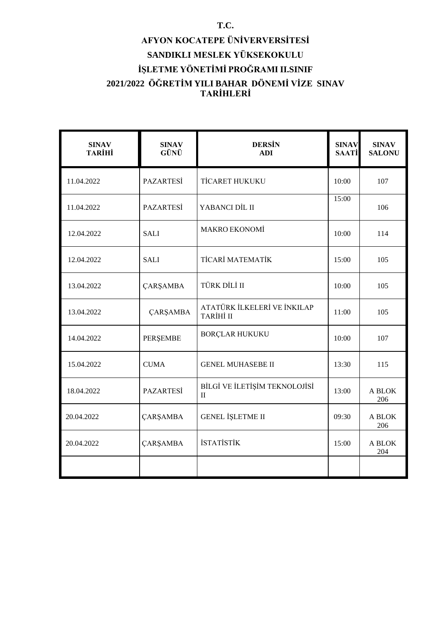# **AFYON KOCATEPE ÜNİVERVERSİTESİ SANDIKLI MESLEK YÜKSEKOKULU İŞLETME YÖNETİMİ PROĞRAMI II.SINIF 2021/2022 ÖĞRETİM YILI BAHAR DÖNEMİ VİZE SINAV TARİHLERİ**

| <b>SINAV</b><br><b>TARİHİ</b> | <b>SINAV</b><br>GÜNÜ | <b>DERSIN</b><br><b>ADI</b>                   | <b>SINAV</b><br><b>SAATİ</b> | <b>SINAV</b><br><b>SALONU</b> |
|-------------------------------|----------------------|-----------------------------------------------|------------------------------|-------------------------------|
| 11.04.2022                    | <b>PAZARTESİ</b>     | <b>TİCARET HUKUKU</b>                         | 10:00                        | 107                           |
| 11.04.2022                    | <b>PAZARTESİ</b>     | YABANCI DİL II                                | 15:00                        | 106                           |
| 12.04.2022                    | <b>SALI</b>          | <b>MAKRO EKONOMİ</b>                          | 10:00                        | 114                           |
| 12.04.2022                    | <b>SALI</b>          | TİCARİ MATEMATİK                              | 15:00                        | 105                           |
| 13.04.2022                    | <b>ÇARŞAMBA</b>      | TÜRK DİLİ II                                  | 10:00                        | 105                           |
| 13.04.2022                    | <b>ÇARŞAMBA</b>      | ATATÜRK İLKELERİ VE İNKILAP<br>TARİHİ II      | 11:00                        | 105                           |
| 14.04.2022                    | PERŞEMBE             | <b>BORÇLAR HUKUKU</b>                         | 10:00                        | 107                           |
| 15.04.2022                    | <b>CUMA</b>          | <b>GENEL MUHASEBE II</b>                      | 13:30                        | 115                           |
| 18.04.2022                    | <b>PAZARTESİ</b>     | BİLGİ VE İLETİŞİM TEKNOLOJİSİ<br>$\mathbf{I}$ | 13:00                        | A BLOK<br>206                 |
| 20.04.2022                    | <b>ÇARŞAMBA</b>      | <b>GENEL İŞLETME II</b>                       | 09:30                        | A BLOK<br>206                 |
| 20.04.2022                    | <b>ÇARŞAMBA</b>      | <b>İSTATİSTİK</b>                             | 15:00                        | A BLOK<br>204                 |
|                               |                      |                                               |                              |                               |

#### **T.C.**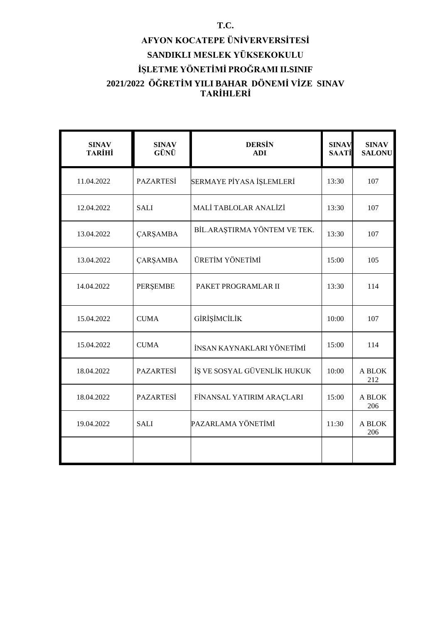# **AFYON KOCATEPE ÜNİVERVERSİTESİ SANDIKLI MESLEK YÜKSEKOKULU İŞLETME YÖNETİMİ PROĞRAMI II.SINIF 2021/2022 ÖĞRETİM YILI BAHAR DÖNEMİ VİZE SINAV TARİHLERİ**

| <b>SINAV</b><br><b>TARİHİ</b> | <b>SINAV</b><br>GÜNÜ | <b>DERSIN</b><br><b>ADI</b>  | <b>SINAV</b><br><b>SAATİ</b> | <b>SINAV</b><br><b>SALONU</b> |
|-------------------------------|----------------------|------------------------------|------------------------------|-------------------------------|
| 11.04.2022                    | <b>PAZARTESİ</b>     | SERMAYE PİYASA İŞLEMLERİ     | 13:30                        | 107                           |
| 12.04.2022                    | <b>SALI</b>          | MALİ TABLOLAR ANALİZİ        | 13:30                        | 107                           |
| 13.04.2022                    | <b>ÇARŞAMBA</b>      | BİL.ARAŞTIRMA YÖNTEM VE TEK. | 13:30                        | 107                           |
| 13.04.2022                    | ÇARŞAMBA             | ÜRETİM YÖNETİMİ              | 15:00                        | 105                           |
| 14.04.2022                    | PERŞEMBE             | PAKET PROGRAMLAR II          | 13:30                        | 114                           |
| 15.04.2022                    | <b>CUMA</b>          | GİRİŞİMCİLİK                 | 10:00                        | 107                           |
| 15.04.2022                    | <b>CUMA</b>          | İNSAN KAYNAKLARI YÖNETİMİ    | 15:00                        | 114                           |
| 18.04.2022                    | <b>PAZARTESİ</b>     | İŞ VE SOSYAL GÜVENLİK HUKUK  | 10:00                        | A BLOK<br>212                 |
| 18.04.2022                    | <b>PAZARTESİ</b>     | FİNANSAL YATIRIM ARAÇLARI    | 15:00                        | A BLOK<br>206                 |
| 19.04.2022                    | <b>SALI</b>          | PAZARLAMA YÖNETİMİ           | 11:30                        | A BLOK<br>206                 |
|                               |                      |                              |                              |                               |

#### **T.C.**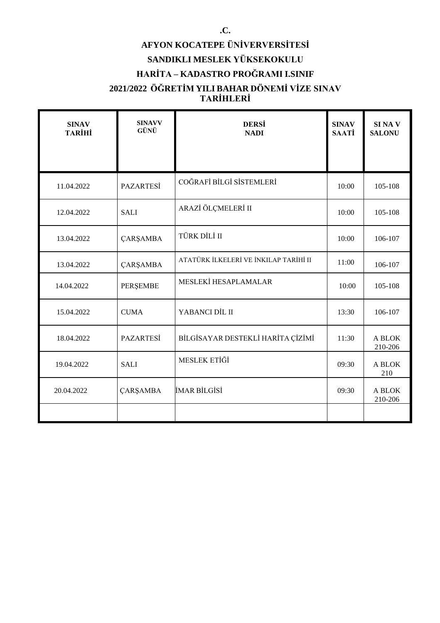# **AFYON KOCATEPE ÜNİVERVERSİTESİ SANDIKLI MESLEK YÜKSEKOKULU HARİTA – KADASTRO PROĞRAMI I.SINIF**

#### **2021/2022 ÖĞRETİM YILI BAHAR DÖNEMİ VİZE SINAV TARİHLERİ**

| <b>SINAV</b><br><b>TARİHİ</b> | <b>SINAVV</b><br>GÜNÜ | <b>DERSİ</b><br><b>NADI</b>           | <b>SINAV</b><br><b>SAATİ</b> | SI NA V<br><b>SALONU</b> |
|-------------------------------|-----------------------|---------------------------------------|------------------------------|--------------------------|
|                               |                       |                                       |                              |                          |
| 11.04.2022                    | <b>PAZARTESİ</b>      | COĞRAFİ BİLGİ SİSTEMLERİ              | 10:00                        | 105-108                  |
| 12.04.2022                    | <b>SALI</b>           | ARAZİ ÖLÇMELERİ II                    | 10:00                        | 105-108                  |
| 13.04.2022                    | <b>ÇARŞAMBA</b>       | TÜRK DİLİ II                          | 10:00                        | 106-107                  |
| 13.04.2022                    | <b>ÇARŞAMBA</b>       | ATATÜRK İLKELERİ VE İNKILAP TARİHİ II | 11:00                        | 106-107                  |
| 14.04.2022                    | PERŞEMBE              | MESLEKİ HESAPLAMALAR                  | 10:00                        | 105-108                  |
| 15.04.2022                    | <b>CUMA</b>           | YABANCI DİL II                        | 13:30                        | 106-107                  |
| 18.04.2022                    | <b>PAZARTESİ</b>      | BİLGİSAYAR DESTEKLİ HARİTA ÇİZİMİ     | 11:30                        | A BLOK<br>210-206        |
| 19.04.2022                    | <b>SALI</b>           | MESLEK ETİĞİ                          | 09:30                        | A BLOK<br>210            |
| 20.04.2022                    | <b>ÇARŞAMBA</b>       | İMAR BİLGİSİ                          | 09:30                        | A BLOK<br>210-206        |
|                               |                       |                                       |                              |                          |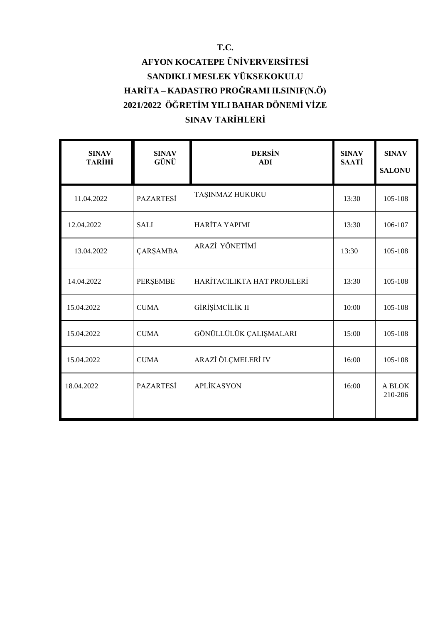# **AFYON KOCATEPE ÜNİVERVERSİTESİ SANDIKLI MESLEK YÜKSEKOKULU HARİTA – KADASTRO PROĞRAMI II.SINIF(N.Ö) 2021/2022 ÖĞRETİM YILI BAHAR DÖNEMİ VİZE SINAV TARİHLERİ**

| <b>SINAV</b><br><b>TARİHİ</b> | <b>SINAV</b><br>GÜNÜ | <b>DERSIN</b><br><b>ADI</b> | <b>SINAV</b><br><b>SAATİ</b> | <b>SINAV</b><br><b>SALONU</b> |
|-------------------------------|----------------------|-----------------------------|------------------------------|-------------------------------|
| 11.04.2022                    | <b>PAZARTESİ</b>     | TAŞINMAZ HUKUKU             | 13:30                        | 105-108                       |
| 12.04.2022                    | <b>SALI</b>          | HARİTA YAPIMI               | 13:30                        | 106-107                       |
| 13.04.2022                    | <b>ÇARŞAMBA</b>      | ARAZİ YÖNETİMİ              | 13:30                        | 105-108                       |
| 14.04.2022                    | PERŞEMBE             | HARİTACILIKTA HAT PROJELERİ | 13:30                        | 105-108                       |
| 15.04.2022                    | <b>CUMA</b>          | GİRİŞİMCİLİK II             | 10:00                        | 105-108                       |
| 15.04.2022                    | <b>CUMA</b>          | GÖNÜLLÜLÜK ÇALIŞMALARI      | 15:00                        | 105-108                       |
| 15.04.2022                    | <b>CUMA</b>          | ARAZİ ÖLÇMELERİ IV          | 16:00                        | 105-108                       |
| 18.04.2022                    | <b>PAZARTESİ</b>     | <b>APLİKASYON</b>           | 16:00                        | A BLOK<br>210-206             |
|                               |                      |                             |                              |                               |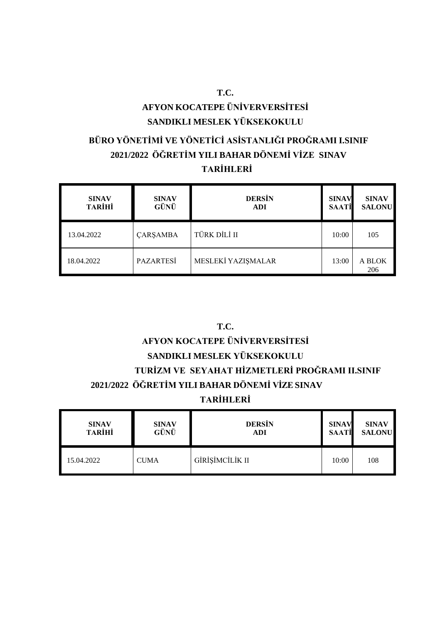# **AFYON KOCATEPE ÜNİVERVERSİTESİ SANDIKLI MESLEK YÜKSEKOKULU**

**T.C.**

## **BÜRO YÖNETİMİ VE YÖNETİCİ ASİSTANLIĞI PROĞRAMI I.SINIF 2021/2022 ÖĞRETİM YILI BAHAR DÖNEMİ VİZE SINAV TARİHLERİ**

| <b>SINAV</b><br><b>TARİHİ</b> | <b>SINAV</b><br>GÜNÜ | <b>DERSIN</b><br><b>ADI</b> | <b>SINAV</b><br><b>SAATİ</b> | <b>SINAV</b><br><b>SALONU</b> |
|-------------------------------|----------------------|-----------------------------|------------------------------|-------------------------------|
| 13.04.2022                    | <b>ÇARŞAMBA</b>      | TÜRK DİLİ II                | 10:00                        | 105                           |
| 18.04.2022                    | <b>PAZARTESI</b>     | MESLEKİ YAZISMALAR          | 13:00                        | A BLOK<br>206                 |

# **T.C. AFYON KOCATEPE ÜNİVERVERSİTESİ SANDIKLI MESLEK YÜKSEKOKULU TURİZM VE SEYAHAT HİZMETLERİ PROĞRAMI II.SINIF 2021/2022 ÖĞRETİM YILI BAHAR DÖNEMİ VİZE SINAV TARİHLERİ**

| <b>SINAV</b>  | <b>SINAV</b> | <b>DERSIN</b>   | <b>SINAV</b> | <b>SINAV</b>  |
|---------------|--------------|-----------------|--------------|---------------|
| <b>TARİHİ</b> | GÜNÜ         | <b>ADI</b>      | <b>SAATİ</b> | <b>SALONU</b> |
| 15.04.2022    | <b>CUMA</b>  | GİRİŞİMCİLİK II | 10:00        | 108           |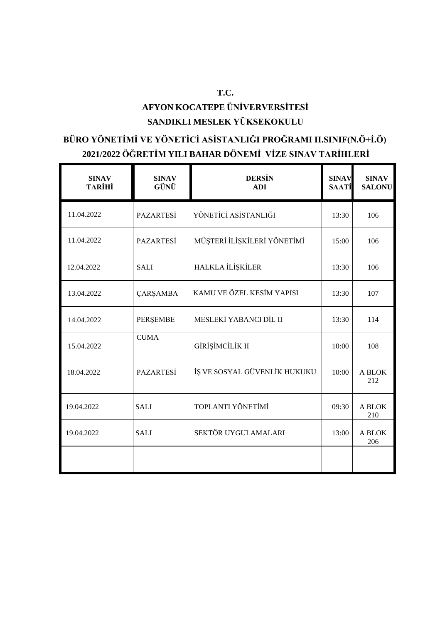## **T.C. AFYON KOCATEPE ÜNİVERVERSİTESİ SANDIKLI MESLEK YÜKSEKOKULU**

# **BÜRO YÖNETİMİ VE YÖNETİCİ ASİSTANLIĞI PROĞRAMI II.SINIF(N.Ö+İ.Ö) 2021/2022 ÖĞRETİM YILI BAHAR DÖNEMİ VİZE SINAV TARİHLERİ**

| <b>SINAV</b><br><b>TARİHİ</b> | <b>SINAV</b><br>GÜNÜ | <b>DERSIN</b><br><b>ADI</b>  | <b>SINAV</b><br><b>SAATİ</b> | <b>SINAV</b><br><b>SALONU</b> |
|-------------------------------|----------------------|------------------------------|------------------------------|-------------------------------|
| 11.04.2022                    | <b>PAZARTESİ</b>     | YÖNETİCİ ASİSTANLIĞI         | 13:30                        | 106                           |
| 11.04.2022                    | <b>PAZARTESİ</b>     | MÜŞTERİ İLİŞKİLERİ YÖNETİMİ  | 15:00                        | 106                           |
| 12.04.2022                    | <b>SALI</b>          | HALKLA İLİŞKİLER             | 13:30                        | 106                           |
| 13.04.2022                    | <b>ÇARŞAMBA</b>      | KAMU VE ÖZEL KESİM YAPISI    | 13:30                        | 107                           |
| 14.04.2022                    | PERŞEMBE             | MESLEKİ YABANCI DİL II       | 13:30                        | 114                           |
| 15.04.2022                    | <b>CUMA</b>          | GİRİŞİMCİLİK II              | 10:00                        | 108                           |
| 18.04.2022                    | <b>PAZARTESİ</b>     | İŞ VE SOSYAL GÜVENLİK HUKUKU | 10:00                        | A BLOK<br>212                 |
| 19.04.2022                    | <b>SALI</b>          | TOPLANTI YÖNETİMİ            | 09:30                        | A BLOK<br>210                 |
| 19.04.2022                    | <b>SALI</b>          | SEKTÖR UYGULAMALARI          | 13:00                        | A BLOK<br>206                 |
|                               |                      |                              |                              |                               |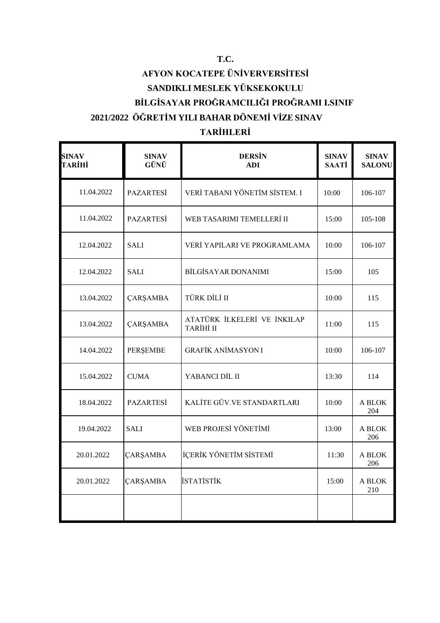# **AFYON KOCATEPE ÜNİVERVERSİTESİ SANDIKLI MESLEK YÜKSEKOKULU BİLGİSAYAR PROĞRAMCILIĞI PROĞRAMI I.SINIF 2021/2022 ÖĞRETİM YILI BAHAR DÖNEMİ VİZE SINAV**

## **TARİHLERİ**

| <b>SINAV</b><br>TARİHİ | <b>SINAV</b><br>GÜNÜ | <b>DERSIN</b><br><b>ADI</b>              | <b>SINAV</b><br><b>SAATİ</b> | <b>SINAV</b><br><b>SALONU</b> |
|------------------------|----------------------|------------------------------------------|------------------------------|-------------------------------|
| 11.04.2022             | PAZARTESİ            | VERİ TABANI YÖNETİM SİSTEM. I            | 10:00                        | 106-107                       |
| 11.04.2022             | <b>PAZARTESİ</b>     | WEB TASARIMI TEMELLERİ II                | 15:00                        | 105-108                       |
| 12.04.2022             | <b>SALI</b>          | VERÎ YAPILARI VE PROGRAMLAMA             | 10:00                        | 106-107                       |
| 12.04.2022             | <b>SALI</b>          | <b>BİLGİSAYAR DONANIMI</b>               | 15:00                        | 105                           |
| 13.04.2022             | <b>ÇARŞAMBA</b>      | TÜRK DİLİ II                             | 10:00                        | 115                           |
| 13.04.2022             | <b>ÇARŞAMBA</b>      | ATATÜRK İLKELERİ VE İNKILAP<br>TARİHİ II | 11:00                        | 115                           |
| 14.04.2022             | PERŞEMBE             | <b>GRAFİK ANİMASYON I</b>                | 10:00                        | 106-107                       |
| 15.04.2022             | <b>CUMA</b>          | YABANCI DİL II                           | 13:30                        | 114                           |
| 18.04.2022             | <b>PAZARTESI</b>     | KALİTE GÜV.VE STANDARTLARI               | 10:00                        | A BLOK<br>204                 |
| 19.04.2022             | <b>SALI</b>          | WEB PROJESİ YÖNETİMİ                     | 13:00                        | A BLOK<br>206                 |
| 20.01.2022             | ÇARŞAMBA             | İÇERİK YÖNETİM SİSTEMİ                   | 11:30                        | A BLOK<br>206                 |
| 20.01.2022             | <b>ÇARŞAMBA</b>      | <b>İSTATİSTİK</b>                        | 15:00                        | A BLOK<br>210                 |
|                        |                      |                                          |                              |                               |

#### **T.C.**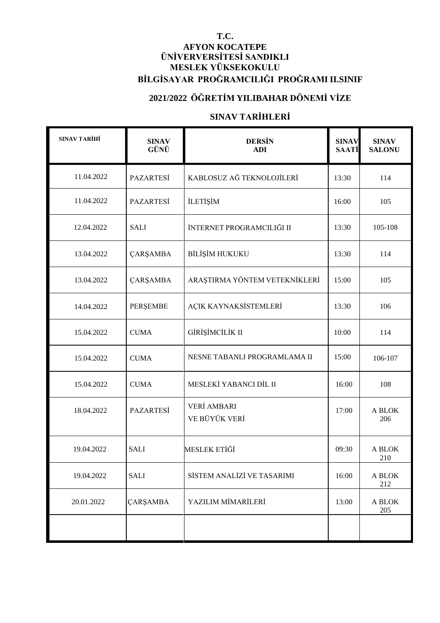#### **T.C. AFYON KOCATEPE ÜNİVERVERSİTESİ SANDIKLI MESLEK YÜKSEKOKULU BİLGİSAYAR PROĞRAMCILIĞI PROĞRAMI II.SINIF**

### **2021/2022 ÖĞRETİM YILIBAHAR DÖNEMİ VİZE**

#### **SINAV TARİHLERİ**

| <b>SINAV TARİHİ</b> | <b>SINAV</b><br>GÜNÜ | <b>DERSIN</b><br><b>ADI</b>         | <b>SINAV</b><br><b>SAATİ</b> | <b>SINAV</b><br><b>SALONU</b> |
|---------------------|----------------------|-------------------------------------|------------------------------|-------------------------------|
| 11.04.2022          | <b>PAZARTESİ</b>     | KABLOSUZ AĞ TEKNOLOJİLERİ           | 13:30                        | 114                           |
| 11.04.2022          | <b>PAZARTESİ</b>     | <b>İLETİŞİM</b>                     | 16:00                        | 105                           |
| 12.04.2022          | <b>SALI</b>          | İNTERNET PROGRAMCILIĞI II           | 13:30                        | 105-108                       |
| 13.04.2022          | ÇARŞAMBA             | BİLİŞİM HUKUKU                      | 13:30                        | 114                           |
| 13.04.2022          | ÇARŞAMBA             | ARAŞTIRMA YÖNTEM VETEKNİKLERİ       | 15:00                        | 105                           |
| 14.04.2022          | PERŞEMBE             | AÇIK KAYNAKSİSTEMLERİ               | 13:30                        | 106                           |
| 15.04.2022          | <b>CUMA</b>          | GİRİŞİMCİLİK II                     | 10:00                        | 114                           |
| 15.04.2022          | <b>CUMA</b>          | NESNE TABANLI PROGRAMLAMA II        | 15:00                        | 106-107                       |
| 15.04.2022          | <b>CUMA</b>          | MESLEKİ YABANCI DİL II              | 16:00                        | 108                           |
| 18.04.2022          | <b>PAZARTESİ</b>     | <b>VERİ AMBARI</b><br>VE BÜYÜK VERİ | 17:00                        | A BLOK<br>206                 |
| 19.04.2022          | <b>SALI</b>          | <b>MESLEK ETİĞİ</b>                 | 09:30                        | A BLOK<br>210                 |
| 19.04.2022          | <b>SALI</b>          | SİSTEM ANALİZİ VE TASARIMI          | 16:00                        | A BLOK<br>212                 |
| 20.01.2022          | <b>ÇARŞAMBA</b>      | YAZILIM MİMARİLERİ                  | 13:00                        | A BLOK<br>205                 |
|                     |                      |                                     |                              |                               |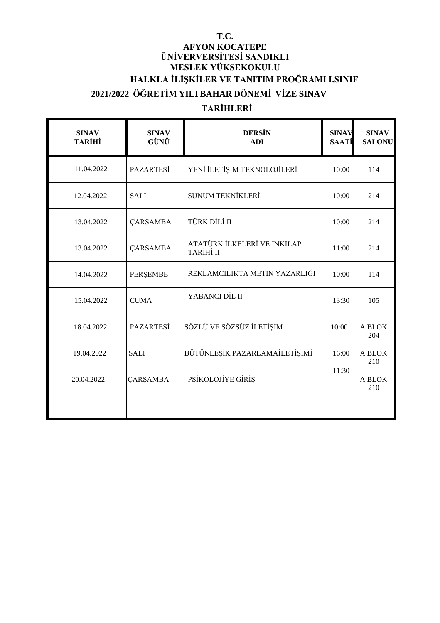#### **T.C.**

## **AFYON KOCATEPE ÜNİVERVERSİTESİ SANDIKLI MESLEK YÜKSEKOKULU HALKLA İLİŞKİLER VE TANITIM PROĞRAMI I.SINIF 2021/2022 ÖĞRETİM YILI BAHAR DÖNEMİ VİZE SINAV**

## **TARİHLERİ**

| <b>SINAV</b><br><b>TARİHİ</b> | <b>SINAV</b><br>GÜNÜ | <b>DERSIN</b><br><b>ADI</b>                     | <b>SINAV</b><br><b>SAATİ</b> | <b>SINAV</b><br><b>SALONU</b> |
|-------------------------------|----------------------|-------------------------------------------------|------------------------------|-------------------------------|
| 11.04.2022                    | <b>PAZARTESİ</b>     | YENİ İLETİŞİM TEKNOLOJİLERİ                     | 10:00                        | 114                           |
| 12.04.2022                    | <b>SALI</b>          | <b>SUNUM TEKNİKLERİ</b>                         | 10:00                        | 214                           |
| 13.04.2022                    | <b>ÇARŞAMBA</b>      | TÜRK DİLİ II                                    | 10:00                        | 214                           |
| 13.04.2022                    | <b>ÇARŞAMBA</b>      | ATATÜRK İLKELERİ VE İNKILAP<br><b>TARİHİ II</b> | 11:00                        | 214                           |
| 14.04.2022                    | PERŞEMBE             | REKLAMCILIKTA METİN YAZARLIĞI                   | 10:00                        | 114                           |
| 15.04.2022                    | <b>CUMA</b>          | YABANCI DİL II                                  | 13:30                        | 105                           |
| 18.04.2022                    | <b>PAZARTESİ</b>     | SÖZLÜ VE SÖZSÜZ İLETİŞİM                        | 10:00                        | A BLOK<br>204                 |
| 19.04.2022                    | <b>SALI</b>          | BÜTÜNLEŞİK PAZARLAMAİLETİŞİMİ                   | 16:00                        | A BLOK<br>210                 |
| 20.04.2022                    | <b>ÇARŞAMBA</b>      | PSİKOLOJİYE GİRİŞ                               | 11:30                        | A BLOK<br>210                 |
|                               |                      |                                                 |                              |                               |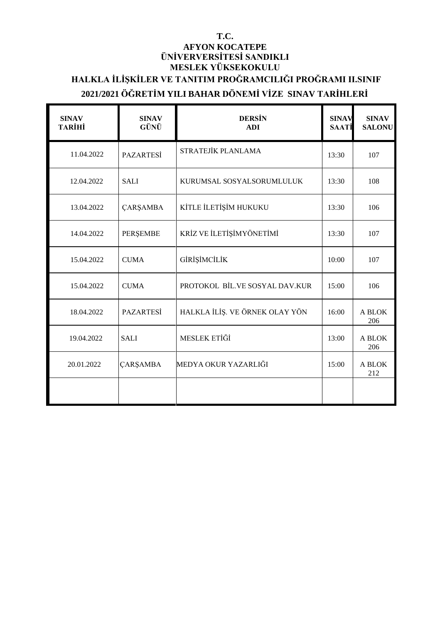#### **T.C. AFYON KOCATEPE ÜNİVERVERSİTESİ SANDIKLI MESLEK YÜKSEKOKULU HALKLA İLİŞKİLER VE TANITIM PROĞRAMCILIĞI PROĞRAMI II.SINIF 2021/2021 ÖĞRETİM YILI BAHAR DÖNEMİ VİZE SINAV TARİHLERİ**

| <b>SINAV</b><br><b>TARİHİ</b> | <b>SINAV</b><br>GÜNÜ | <b>DERSIN</b><br><b>ADI</b>    | <b>SINAV</b><br><b>SAATI</b> | <b>SINAV</b><br><b>SALONU</b> |
|-------------------------------|----------------------|--------------------------------|------------------------------|-------------------------------|
| 11.04.2022                    | <b>PAZARTESİ</b>     | STRATEJİK PLANLAMA             | 13:30                        | 107                           |
| 12.04.2022                    | <b>SALI</b>          | KURUMSAL SOSYALSORUMLULUK      | 13:30                        | 108                           |
| 13.04.2022                    | <b>ÇARŞAMBA</b>      | KİTLE İLETİŞİM HUKUKU          | 13:30                        | 106                           |
| 14.04.2022                    | PERŞEMBE             | KRİZ VE İLETİŞİMYÖNETİMİ       | 13:30                        | 107                           |
| 15.04.2022                    | <b>CUMA</b>          | GİRİŞİMCİLİK                   | 10:00                        | 107                           |
| 15.04.2022                    | <b>CUMA</b>          | PROTOKOL BİL.VE SOSYAL DAV.KUR | 15:00                        | 106                           |
| 18.04.2022                    | <b>PAZARTESİ</b>     | HALKLA İLİŞ. VE ÖRNEK OLAY YÖN | 16:00                        | A BLOK<br>206                 |
| 19.04.2022                    | <b>SALI</b>          | MESLEK ETİĞİ                   | 13:00                        | A BLOK<br>206                 |
| 20.01.2022                    | <b>ÇARŞAMBA</b>      | MEDYA OKUR YAZARLIĞI           | 15:00                        | A BLOK<br>212                 |
|                               |                      |                                |                              |                               |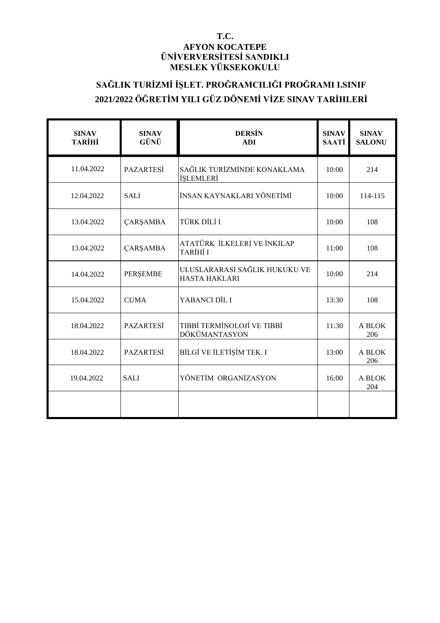#### **T.C. AFYON KOCATEPE ÜNİVERVERSİTESİ SANDIKLI MESLEK YÜKSEKOKULU**

## **SAĞLIK TURİZMİ İŞLET. PROĞRAMCILIĞI PROĞRAMI I.SINIF 2021/2022 ÖĞRETİM YILI GÜZ DÖNEMİ VİZE SINAV TARİHLERİ**

| <b>SINAV</b><br><b>TARİHİ</b> | <b>SINAV</b><br>GÜNÜ | <b>DERSIN</b><br><b>ADI</b>                           | <b>SINAV</b><br><b>SAATİ</b> | <b>SINAV</b><br><b>SALONU</b> |
|-------------------------------|----------------------|-------------------------------------------------------|------------------------------|-------------------------------|
| 11.04.2022                    | <b>PAZARTESİ</b>     | SAĞLIK TURİZMİNDE KONAKLAMA<br><b>İSLEMLERİ</b>       | 10:00                        | 214                           |
| 12.04.2022                    | <b>SALI</b>          | İNSAN KAYNAKLARI YÖNETİMİ                             | 10:00                        | 114-115                       |
| 13.04.2022                    | <b>ÇARŞAMBA</b>      | TÜRK DİLİ I                                           | 10:00                        | 108                           |
| 13.04.2022                    | <b>ÇARŞAMBA</b>      | ATATÜRK İLKELERİ VE İNKILAP<br>TARİHİ I               | 11:00                        | 108                           |
| 14.04.2022                    | <b>PERSEMBE</b>      | ULUSLARARASI SAĞLIK HUKUKU VE<br><b>HASTA HAKLARI</b> | 10:00                        | 214                           |
| 15.04.2022                    | <b>CUMA</b>          | YABANCI DİL I                                         | 13:30                        | 108                           |
| 18.04.2022                    | <b>PAZARTESİ</b>     | TIBBİ TERMİNOLOJİ VE TIBBİ<br>DÖKÜMANTASYON           | 11:30                        | A BLOK<br>206                 |
| 18.04.2022                    | <b>PAZARTESİ</b>     | BİLGİ VE İLETİŞİM TEK. I                              | 13:00                        | A BLOK<br>206                 |
| 19.04.2022                    | <b>SALI</b>          | YÖNETİM ORGANİZASYON                                  | 16:00                        | A BLOK<br>204                 |
|                               |                      |                                                       |                              |                               |